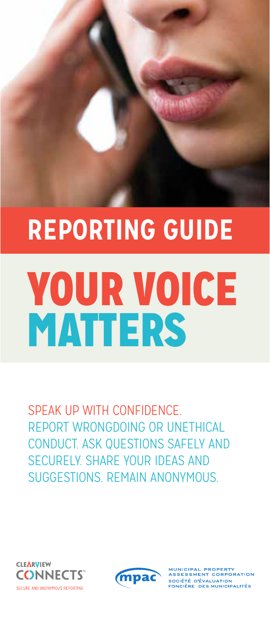# YOUR VOICE MATTERS **REPORTING GUIDE**

SPEAK UP WITH CONFIDENCE. REPORT WRONGDOING OR UNETHICAL CONDUCT. ASK QUESTIONS SAFELY AND SECURELY. SHARE YOUR IDEAS AND SUGGESTIONS. REMAIN ANONYMOUS.





SESSMENT CORPORATION ------------------------------<br>SOCIÉTÉ D'ÉVALUATION<br>FONCIÈRE DES MUNICIPALITÉS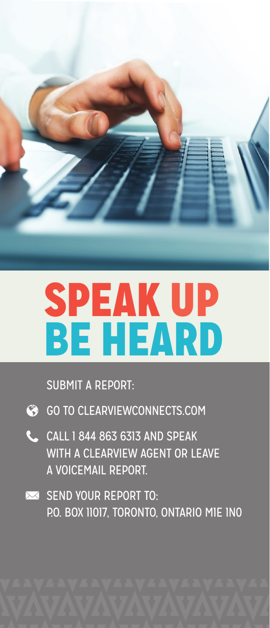

## SPEAK UP BE HEARD

SUBMIT A REPORT:

- GO TO CLEARVIEWCONNECTS.COM
- CALL 1 844 863 6313 AND SPEAK WITH A CLEARVIEW AGENT OR LEAVE A VOICEMAIL REPORT.
- SEND YOUR REPORT TO: P.O. BOX 11017, TORONTO, ONTARIO M1E 1N0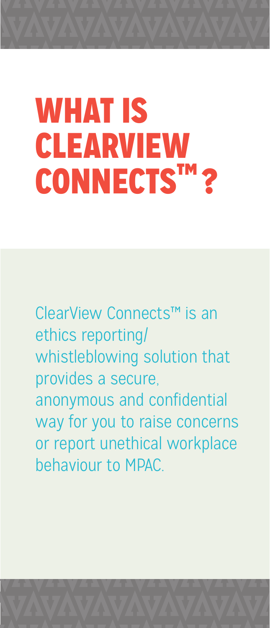## WHAT IS CLEARVIEW CONNECTS™?

ClearView Connects™ is an ethics reporting/ whistleblowing solution that provides a secure, anonymous and confidential way for you to raise concerns or report unethical workplace behaviour to MPAC.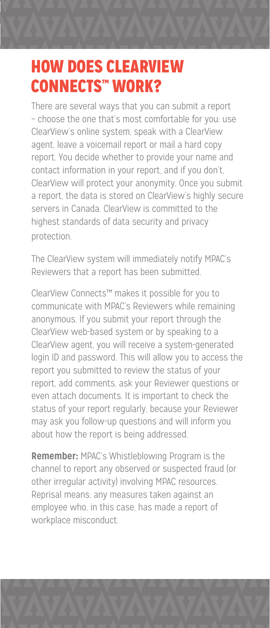### HOW DOES CLEARVIEW CONNECTS™ WORK?

 There are several ways that you can submit a report – choose the one that's most comfortable for you: use ClearView's online system, speak with a ClearView agent, leave a voicemail report or mail a hard copy report. You decide whether to provide your name and contact information in your report, and if you don't, ClearView will protect your anonymity. Once you submit a report, the data is stored on ClearView's highly secure servers in Canada. ClearView is committed to the highest standards of data security and privacy protection.

 The ClearView system will immediately notify MPAC's Reviewers that a report has been submitted.

 ClearView Connects™ makes it possible for you to communicate with MPAC's Reviewers while remaining anonymous. If you submit your report through the ClearView web-based system or by speaking to a ClearView agent, you will receive a system-generated login ID and password. This will allow you to access the report you submitted to review the status of your report, add comments, ask your Reviewer questions or even attach documents. It is important to check the status of your report regularly, because your Reviewer may ask you follow-up questions and will inform you about how the report is being addressed.

**Remember:** MPAC's Whistleblowing Program is the channel to report any observed or suspected fraud (or other irregular activity) involving MPAC resources. Reprisal means: any measures taken against an employee who, in this case, has made a report of workplace misconduct.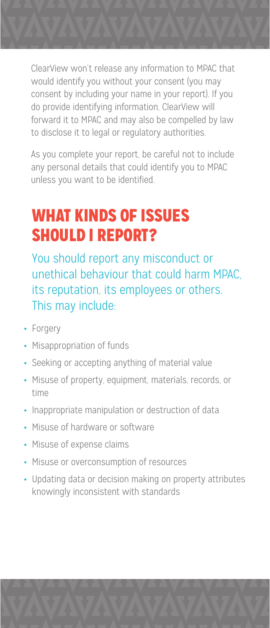ClearView won't release any information to MPAC that would identify you without your consent (you may consent by including your name in your report). If you do provide identifying information, ClearView will forward it to MPAC and may also be compelled by law to disclose it to legal or regulatory authorities.

As you complete your report, be careful not to include any personal details that could identify you to MPAC unless you want to be identified.

## WHAT KINDS OF ISSUES SHOULD I REPORT?

 You should report any misconduct or unethical behaviour that could harm MPAC, its reputation, its employees or others. This may include:

- **•** Forgery
- **•** Misappropriation of funds
- **•** Seeking or accepting anything of material value
- **•** Misuse of property, equipment, materials, records, or time
- **•** Inappropriate manipulation or destruction of data
- **•** Misuse of hardware or software
- **•** Misuse of expense claims
- **•** Misuse or overconsumption of resources
- **•** Updating data or decision making on property attributes knowingly inconsistent with standards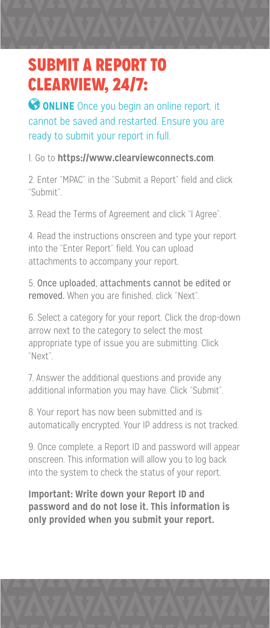### SUBMIT A REPORT TO CLEARVIEW, 24/7:

**ONLINE** Once you begin an online report, it cannot be saved and restarted. Ensure you are ready to submit your report in full.

1. Go to **https://www.clearviewconnects.com**.

2. Enter "MPAC" in the "Submit a Report" field and click "Submit".

3. Read the Terms of Agreement and click "I Agree".

4. Read the instructions onscreen and type your report into the "Enter Report" field. You can upload attachments to accompany your report.

5. Once uploaded, attachments cannot be edited or removed. When you are finished, click "Next".

6. Select a category for your report. Click the drop-down arrow next to the category to select the most appropriate type of issue you are submitting. Click "Next".

7. Answer the additional questions and provide any additional information you may have. Click "Submit".

8. Your report has now been submitted and is automatically encrypted. Your IP address is not tracked.

9. Once complete, a Report ID and password will appear onscreen. This information will allow you to log back into the system to check the status of your report.

**Important: Write down your Report ID and password and do not lose it. This information is only provided when you submit your report.**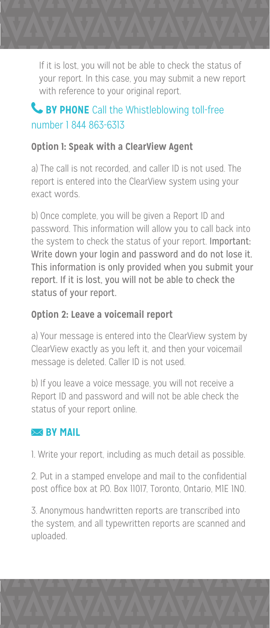If it is lost, you will not be able to check the status of your report. In this case, you may submit a new report with reference to your original report.

#### **& BY PHONE** Call the Whistleblowing toll-free number 1 844 863-6313

#### **Option 1: Speak with a ClearView Agent**

a) The call is not recorded, and caller ID is not used. The report is entered into the ClearView system using your exact words.

b) Once complete, you will be given a Report ID and password. This information will allow you to call back into the system to check the status of your report. Important: Write down your login and password and do not lose it. This information is only provided when you submit your report. If it is lost, you will not be able to check the status of your report.

#### **Option 2: Leave a voicemail report**

a) Your message is entered into the ClearView system by ClearView exactly as you left it, and then your voicemail message is deleted. Caller ID is not used.

b) If you leave a voice message, you will not receive a Report ID and password and will not be able check the status of your report online.

#### **EX BY MAIL**

1. Write your report, including as much detail as possible.

2. Put in a stamped envelope and mail to the confidential post office box at P.O. Box 11017, Toronto, Ontario, MIE 1NO.

3. Anonymous handwritten reports are transcribed into the system, and all typewritten reports are scanned and uploaded.